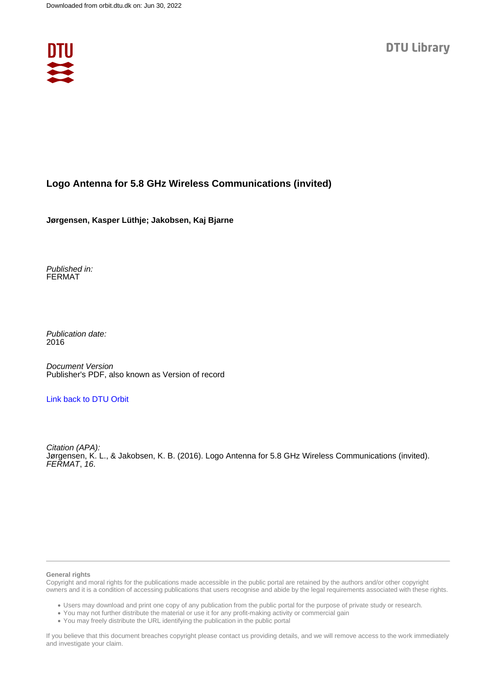

#### **Logo Antenna for 5.8 GHz Wireless Communications (invited)**

**Jørgensen, Kasper Lüthje; Jakobsen, Kaj Bjarne**

Published in: FERMAT

Publication date: 2016

Document Version Publisher's PDF, also known as Version of record

#### [Link back to DTU Orbit](https://orbit.dtu.dk/en/publications/5091a35a-59ac-4029-a745-c62804aad675)

Citation (APA): Jørgensen, K. L., & Jakobsen, K. B. (2016). Logo Antenna for 5.8 GHz Wireless Communications (invited). FERMAT, 16.

#### **General rights**

Copyright and moral rights for the publications made accessible in the public portal are retained by the authors and/or other copyright owners and it is a condition of accessing publications that users recognise and abide by the legal requirements associated with these rights.

Users may download and print one copy of any publication from the public portal for the purpose of private study or research.

- You may not further distribute the material or use it for any profit-making activity or commercial gain
- You may freely distribute the URL identifying the publication in the public portal

If you believe that this document breaches copyright please contact us providing details, and we will remove access to the work immediately and investigate your claim.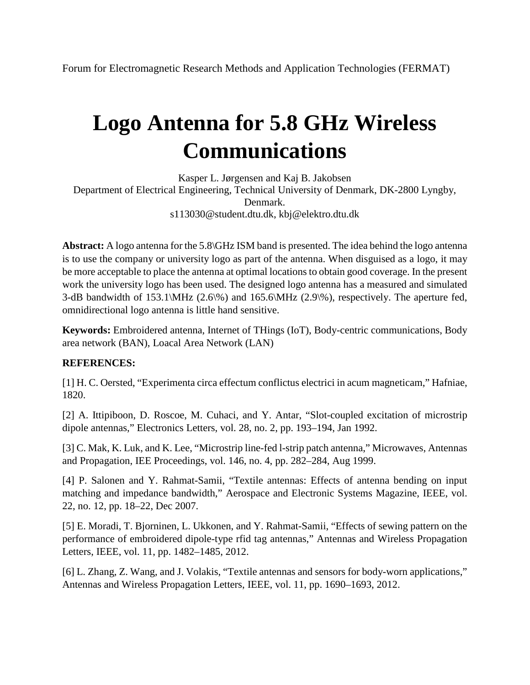Forum for Electromagnetic Research Methods and Application Technologies (FERMAT)

# **Logo Antenna for 5.8 GHz Wireless Communications**

Kasper L. Jørgensen and Kaj B. Jakobsen Department of Electrical Engineering, Technical University of Denmark, DK-2800 Lyngby, Denmark. s113030@student.dtu.dk, kbj@elektro.dtu.dk

**Abstract:** A logo antenna for the 5.8\GHz ISM band is presented. The idea behind the logo antenna is to use the company or university logo as part of the antenna. When disguised as a logo, it may be more acceptable to place the antenna at optimal locations to obtain good coverage. In the present work the university logo has been used. The designed logo antenna has a measured and simulated 3-dB bandwidth of 153.1\MHz (2.6\%) and 165.6\MHz (2.9\%), respectively. The aperture fed, omnidirectional logo antenna is little hand sensitive.

**Keywords:** Embroidered antenna, Internet of THings (IoT), Body-centric communications, Body area network (BAN), Loacal Area Network (LAN)

#### **REFERENCES:**

[1] H. C. Oersted, "Experimenta circa effectum conflictus electrici in acum magneticam," Hafniae, 1820.

[2] A. Ittipiboon, D. Roscoe, M. Cuhaci, and Y. Antar, "Slot-coupled excitation of microstrip dipole antennas," Electronics Letters, vol. 28, no. 2, pp. 193–194, Jan 1992.

[3] C. Mak, K. Luk, and K. Lee, "Microstrip line-fed l-strip patch antenna," Microwaves, Antennas and Propagation, IEE Proceedings, vol. 146, no. 4, pp. 282–284, Aug 1999.

[4] P. Salonen and Y. Rahmat-Samii, "Textile antennas: Effects of antenna bending on input matching and impedance bandwidth," Aerospace and Electronic Systems Magazine, IEEE, vol. 22, no. 12, pp. 18–22, Dec 2007.

[5] E. Moradi, T. Bjorninen, L. Ukkonen, and Y. Rahmat-Samii, "Effects of sewing pattern on the performance of embroidered dipole-type rfid tag antennas," Antennas and Wireless Propagation Letters, IEEE, vol. 11, pp. 1482–1485, 2012.

[6] L. Zhang, Z. Wang, and J. Volakis, "Textile antennas and sensors for body-worn applications," Antennas and Wireless Propagation Letters, IEEE, vol. 11, pp. 1690–1693, 2012.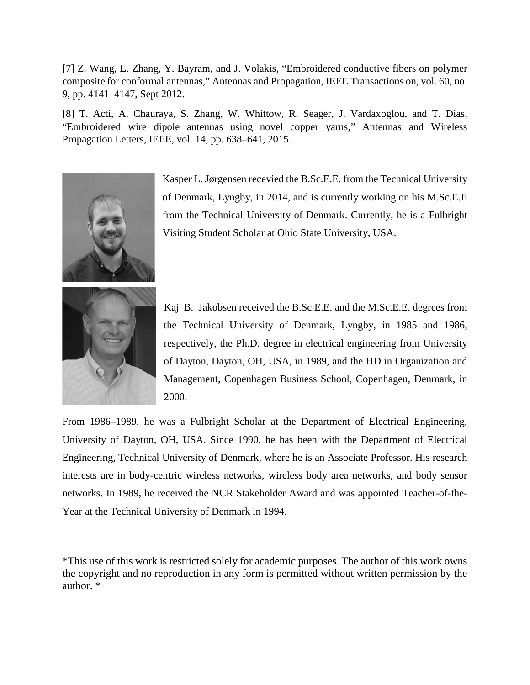[7] Z. Wang, L. Zhang, Y. Bayram, and J. Volakis, "Embroidered conductive fibers on polymer composite for conformal antennas," Antennas and Propagation, IEEE Transactions on, vol. 60, no. 9, pp. 4141–4147, Sept 2012.

[8] T. Acti, A. Chauraya, S. Zhang, W. Whittow, R. Seager, J. Vardaxoglou, and T. Dias, "Embroidered wire dipole antennas using novel copper yarns," Antennas and Wireless Propagation Letters, IEEE, vol. 14, pp. 638–641, 2015.



Kasper L. Jørgensen recevied the B.Sc.E.E. from the Technical University of Denmark, Lyngby, in 2014, and is currently working on his M.Sc.E.E from the Technical University of Denmark. Currently, he is a Fulbright Visiting Student Scholar at Ohio State University, USA.

Kaj B. Jakobsen received the B.Sc.E.E. and the M.Sc.E.E. degrees from the Technical University of Denmark, Lyngby, in 1985 and 1986, respectively, the Ph.D. degree in electrical engineering from University of Dayton, Dayton, OH, USA, in 1989, and the HD in Organization and Management, Copenhagen Business School, Copenhagen, Denmark, in 2000.

From 1986–1989, he was a Fulbright Scholar at the Department of Electrical Engineering, University of Dayton, OH, USA. Since 1990, he has been with the Department of Electrical Engineering, Technical University of Denmark, where he is an Associate Professor. His research interests are in body-centric wireless networks, wireless body area networks, and body sensor networks. In 1989, he received the NCR Stakeholder Award and was appointed Teacher-of-the-Year at the Technical University of Denmark in 1994.

\*This use of this work is restricted solely for academic purposes. The author of this work owns the copyright and no reproduction in any form is permitted without written permission by the author. \*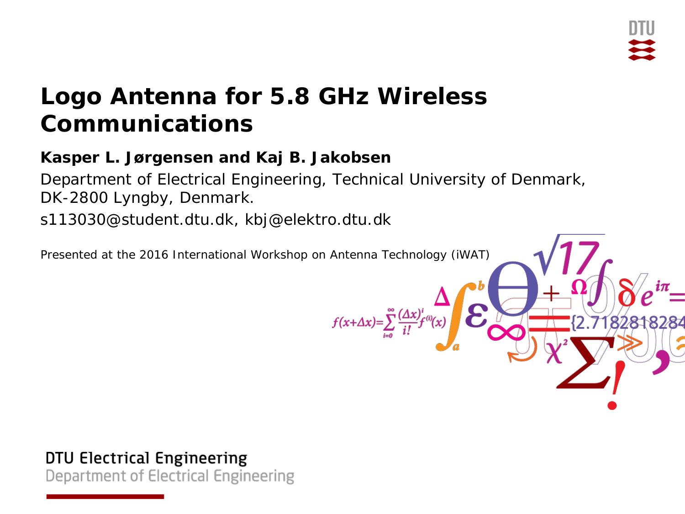

# **Logo Antenna for 5.8 GHz Wireless Communications**

### **Kasper L. Jørgensen and Kaj B. Jakobsen**

Department of Electrical Engineering, Technical University of Denmark, DK-2800 Lyngby, Denmark. s113030@student.dtu.dk, kbj@elektro.dtu.dk



DTU Electrical Engineering Department of Electrical Engineering

**DTU Electrical Engineering, Technical University of Denmark**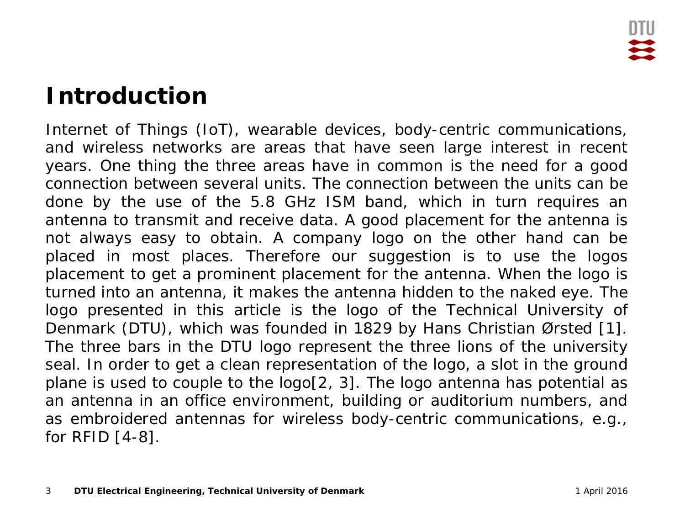# **Introduction**

Internet of Things (IoT), wearable devices, body-centric communications, and wireless networks are areas that have seen large interest in recent years. One thing the three areas have in common is the need for a good connection between several units. The connection between the units can be done by the use of the 5.8 GHz ISM band, which in turn requires an antenna to transmit and receive data. A good placement for the antenna is not always easy to obtain. A company logo on the other hand can be placed in most places. Therefore our suggestion is to use the logos placement to get a prominent placement for the antenna. When the logo is turned into an antenna, it makes the antenna hidden to the naked eye. The logo presented in this article is the logo of the Technical University of Denmark (DTU), which was founded in 1829 by Hans Christian Ørsted [1]. The three bars in the DTU logo represent the three lions of the university seal. In order to get a clean representation of the logo, a slot in the ground plane is used to couple to the logo[2, 3]. The logo antenna has potential as an antenna in an office environment, building or auditorium numbers, and as embroidered antennas for wireless body-centric communications, e.g., for RFID  $[4-8]$ .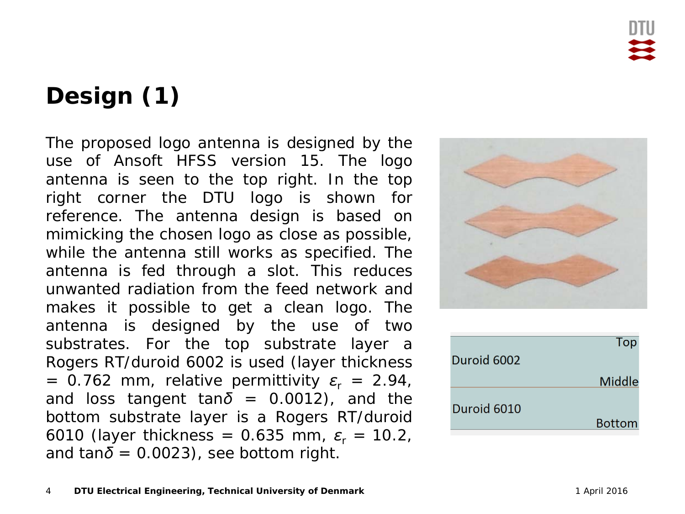# **Design (1)**

The proposed logo antenna is designed by the use of Ansoft HFSS version 15. The logo antenna is seen to the top right. In the top right corner the DTU logo is shown for reference. The antenna design is based on mimicking the chosen logo as close as possible, while the antenna still works as specified. The antenna is fed through a slot. This reduces unwanted radiation from the feed network and makes it possible to get a clean logo. The antenna is designed by the use of two substrates. For the top substrate layer a Rogers RT/duroid 6002 is used (layer thickness  $= 0.762$  mm, relative permittivity  $\varepsilon_r = 2.94$ , and loss tangent  $tan\delta = 0.0012$ , and the bottom substrate layer is a Rogers RT/duroid 6010 (layer thickness = 0.635 mm,  $\varepsilon_r = 10.2$ , and  $tan\delta = 0.0023$ , see bottom right.



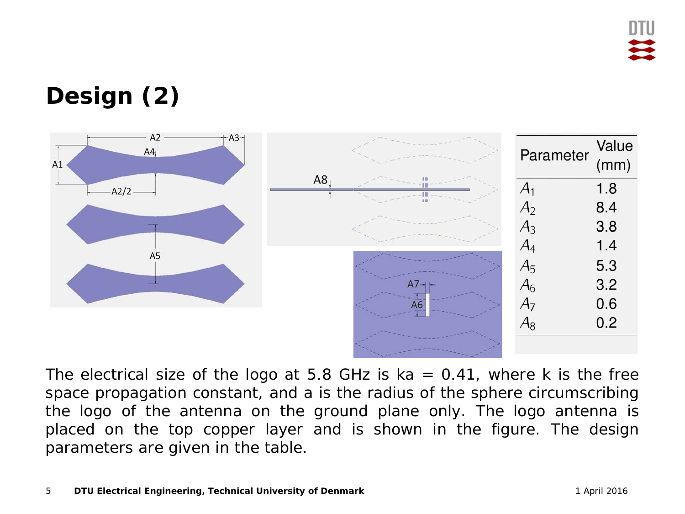# **Design (2)**



The electrical size of the logo at 5.8 GHz is  $ka = 0.41$ , where *k* is the free space propagation constant, and *a* is the radius of the sphere circumscribing the logo of the antenna on the ground plane only. The logo antenna is placed on the top copper layer and is shown in the figure. The design parameters are given in the table.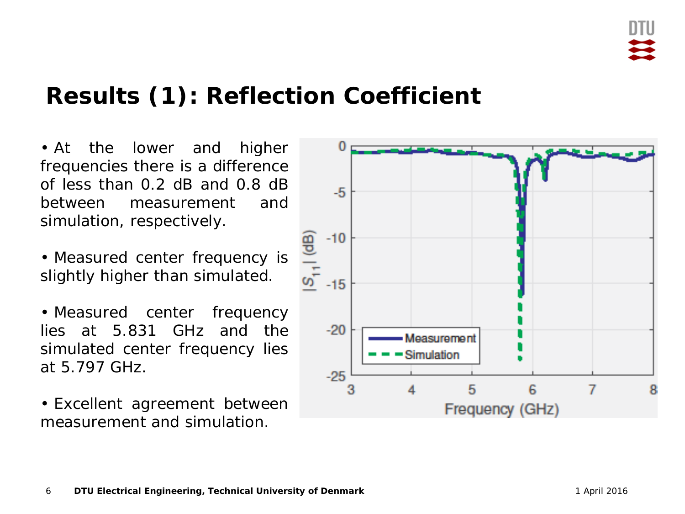

### **Results (1): Reflection Coefficient**

• At the lower and higher frequencies there is a difference of less than 0.2 dB and 0.8 dB between measurement and simulation, respectively.

• Measured center frequency is slightly higher than simulated.

• Measured center frequency lies at 5.831 GHz and the simulated center frequency lies at 5.797 GHz.

• Excellent agreement between measurement and simulation.

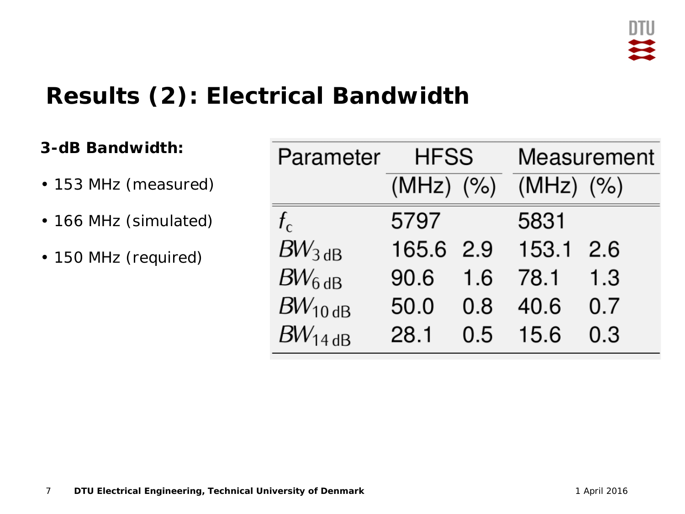# **Results (2): Electrical Bandwidth**

### **3-dB Bandwidth:**

- 153 MHz (measured)
- 166 MHz (simulated)
- 150 MHz (required)

| Parameter            | <b>HFSS</b>   |     | Measurement |     |
|----------------------|---------------|-----|-------------|-----|
|                      | $(MHz)$ $(%)$ |     | $(MHz)$ (%) |     |
| $f_{c}$              | 5797          |     | 5831        |     |
| $BW_{3\,\text{dB}}$  | 165.6 2.9     |     | 153.1 2.6   |     |
| $BW_{6\,\text{dB}}$  | 90.6          | 1.6 | 78.1        | 1.3 |
| $BW_{10\,\text{dB}}$ | 50.0          | 0.8 | 40.6        | 0.7 |
| $BW_{14\,\text{dB}}$ | 28.1          |     | $0.5$ 15.6  | 0.3 |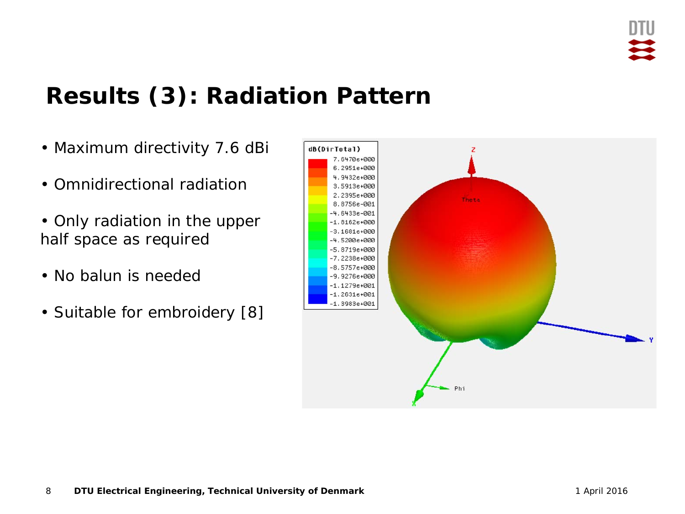

# **Results (3): Radiation Pattern**

- Maximum directivity 7.6 dBi
- Omnidirectional radiation
- Only radiation in the upper half space as required
- No balun is needed
- Suitable for embroidery [8]

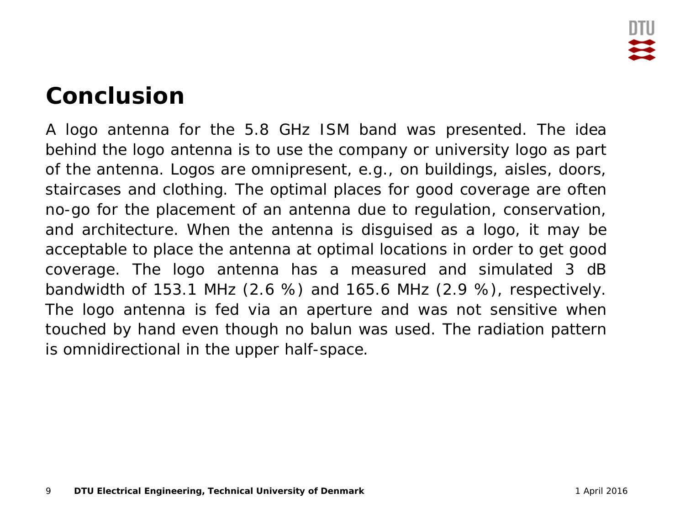# **Conclusion**

A logo antenna for the 5.8 GHz ISM band was presented. The idea behind the logo antenna is to use the company or university logo as part of the antenna. Logos are omnipresent, e.g., on buildings, aisles, doors, staircases and clothing. The optimal places for good coverage are often no-go for the placement of an antenna due to regulation, conservation, and architecture. When the antenna is disguised as a logo, it may be acceptable to place the antenna at optimal locations in order to get good coverage. The logo antenna has a measured and simulated 3 dB bandwidth of 153.1 MHz (2.6 %) and 165.6 MHz (2.9 %), respectively. The logo antenna is fed via an aperture and was not sensitive when touched by hand even though no balun was used. The radiation pattern is omnidirectional in the upper half-space.